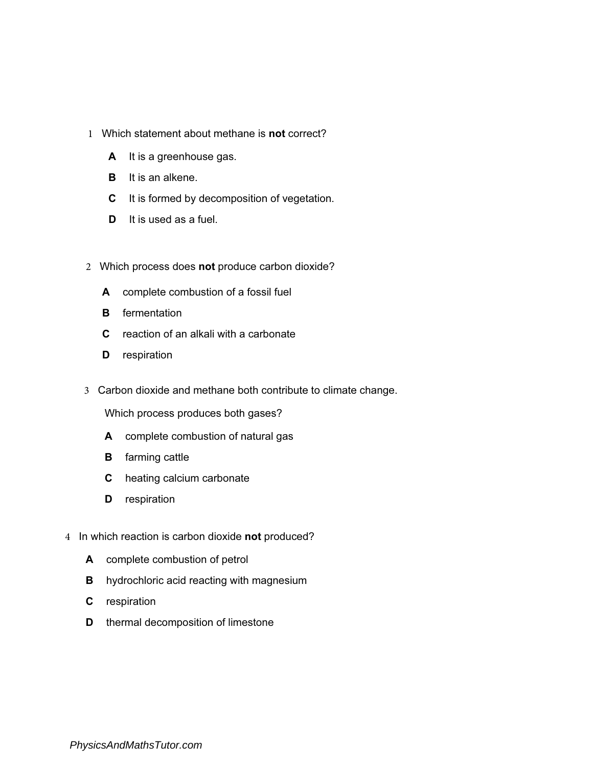- 1 Which statement about methane is not correct?
	- A It is a greenhouse gas.
	- **B** It is an alkene.
	- C It is formed by decomposition of vegetation.
	- D It is used as a fuel.
- 2 Which process does not produce carbon dioxide?
	- A complete combustion of a fossil fuel
	- **B** fermentation
	- C reaction of an alkali with a carbonate
	- **D** respiration
- 3 Carbon dioxide and methane both contribute to climate change.

Which process produces both gases?

- A complete combustion of natural gas
- **B** farming cattle
- C heating calcium carbonate
- **D** respiration
- 4 In which reaction is carbon dioxide not produced?
	- A complete combustion of petrol
	- **B** hydrochloric acid reacting with magnesium
	- C respiration
	- **D** thermal decomposition of limestone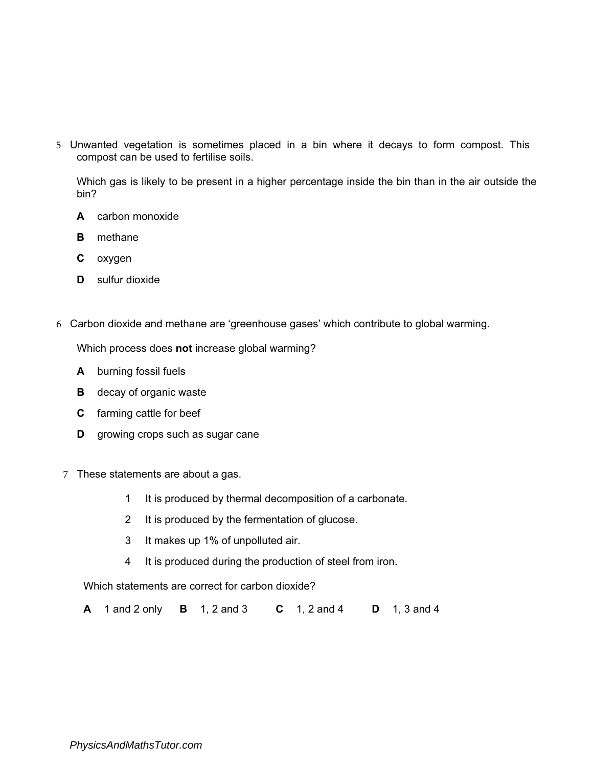5 Unwanted vegetation is sometimes placed in a bin where it decays to form compost. This compost can be used to fertilise soils.

Which gas is likely to be present in a higher percentage inside the bin than in the air outside the bin?

- A carbon monoxide
- B methane
- C oxygen
- D sulfur dioxide
- 6 Carbon dioxide and methane are 'greenhouse gases' which contribute to global warming.

Which process does not increase global warming?

- A burning fossil fuels
- **B** decay of organic waste
- C farming cattle for beef
- **D** growing crops such as sugar cane
- 7 These statements are about a gas.
	- 1 It is produced by thermal decomposition of a carbonate.
	- 2 It is produced by the fermentation of glucose.
	- 3 It makes up 1% of unpolluted air.
	- 4 It is produced during the production of steel from iron.

Which statements are correct for carbon dioxide?

A 1 and 2 only B 1, 2 and 3 C 1, 2 and 4 D 1, 3 and 4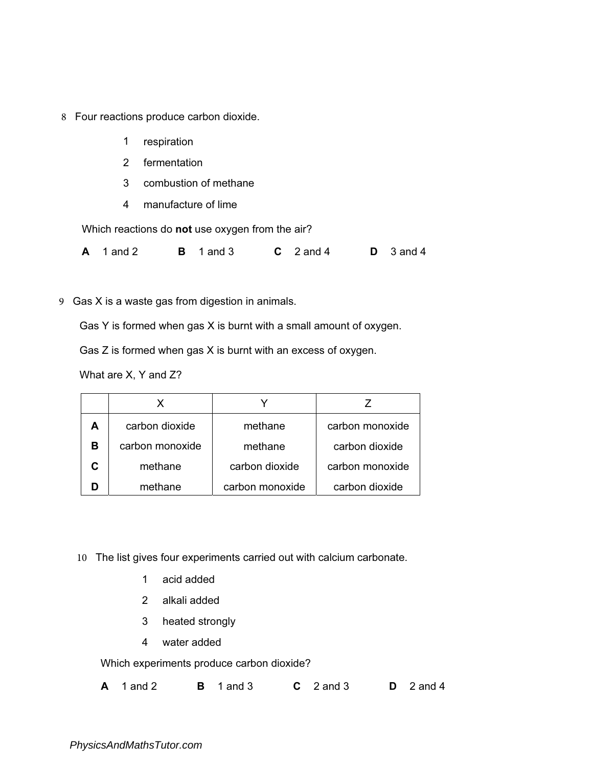- 8 Four reactions produce carbon dioxide.
	- 1 respiration
	- 2 fermentation
	- 3 combustion of methane
	- 4 manufacture of lime

Which reactions do not use oxygen from the air?

**A** 1 and 2 **B** 1 and 3 **C** 2 and 4 **D** 3 and 4

9 Gas X is a waste gas from digestion in animals.

Gas Y is formed when gas X is burnt with a small amount of oxygen.

Gas Z is formed when gas X is burnt with an excess of oxygen.

What are X, Y and Z?

| А | carbon dioxide  | methane         | carbon monoxide |
|---|-----------------|-----------------|-----------------|
| в | carbon monoxide | methane         | carbon dioxide  |
|   | methane         | carbon dioxide  | carbon monoxide |
|   | methane         | carbon monoxide | carbon dioxide  |

- 10 The list gives four experiments carried out with calcium carbonate.
	- 1 acid added
	- 2 alkali added
	- 3 heated strongly
	- 4 water added

Which experiments produce carbon dioxide?

|  | $A \quad 1$ and 2 |  | $\mathbf{B}$ 1 and 3 |  | $C \quad 2$ and 3 |  | $D \quad 2$ and 4 |
|--|-------------------|--|----------------------|--|-------------------|--|-------------------|
|--|-------------------|--|----------------------|--|-------------------|--|-------------------|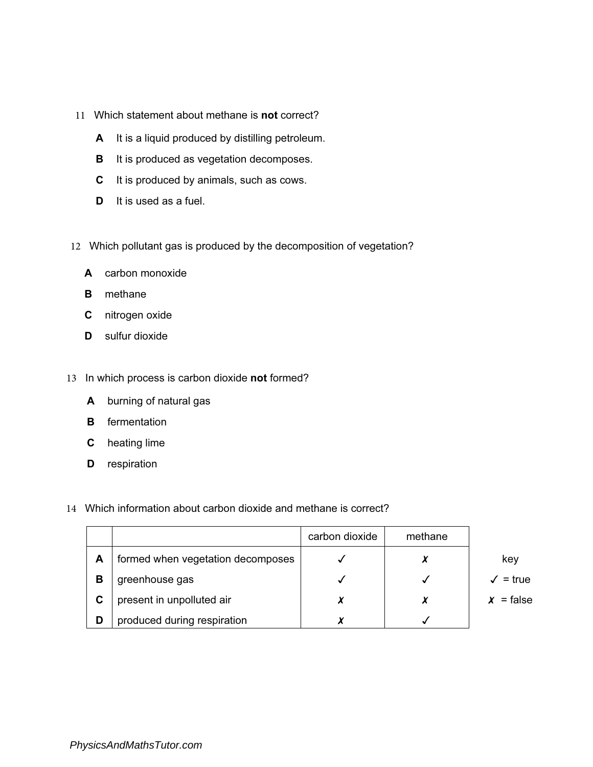- 11 Which statement about methane is not correct?
	- A It is a liquid produced by distilling petroleum.
	- B It is produced as vegetation decomposes.
	- C It is produced by animals, such as cows.
	- D It is used as a fuel.
- 12 Which pollutant gas is produced by the decomposition of vegetation?
	- A carbon monoxide
	- B methane
	- C nitrogen oxide
	- D sulfur dioxide
- 13 In which process is carbon dioxide not formed?
	- A burning of natural gas
	- B fermentation
	- C heating lime
	- **D** respiration
- 14 Which information about carbon dioxide and methane is correct?

|   |                                   | carbon dioxide | methane |                             |
|---|-----------------------------------|----------------|---------|-----------------------------|
| A | formed when vegetation decomposes |                |         | key                         |
| в | greenhouse gas                    |                |         | $\sqrt{\phantom{0}}$ = true |
| C | present in unpolluted air         | X              |         | $x = false$                 |
| D | produced during respiration       |                |         |                             |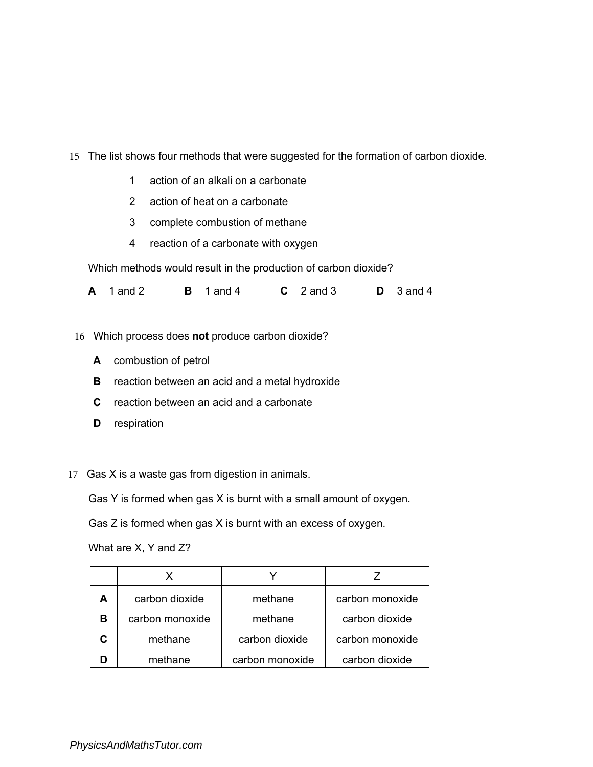- 15 The list shows four methods that were suggested for the formation of carbon dioxide.
	- 1 action of an alkali on a carbonate
	- 2 action of heat on a carbonate
	- 3 complete combustion of methane
	- 4 reaction of a carbonate with oxygen

Which methods would result in the production of carbon dioxide?

| $A \quad 1 \text{ and } 2$<br>$\mathsf B$ 1 and 4 |  | $C2$ and 3 |  | $D \quad 3$ and 4 |
|---------------------------------------------------|--|------------|--|-------------------|
|---------------------------------------------------|--|------------|--|-------------------|

16 Which process does not produce carbon dioxide?

- A combustion of petrol
- **B** reaction between an acid and a metal hydroxide
- C reaction between an acid and a carbonate
- **D** respiration
- 17 Gas X is a waste gas from digestion in animals.

Gas Y is formed when gas X is burnt with a small amount of oxygen.

Gas Z is formed when gas X is burnt with an excess of oxygen.

What are X, Y and Z?

| А | carbon dioxide  | methane         | carbon monoxide |
|---|-----------------|-----------------|-----------------|
| в | carbon monoxide | methane         | carbon dioxide  |
|   | methane         | carbon dioxide  | carbon monoxide |
|   | methane         | carbon monoxide | carbon dioxide  |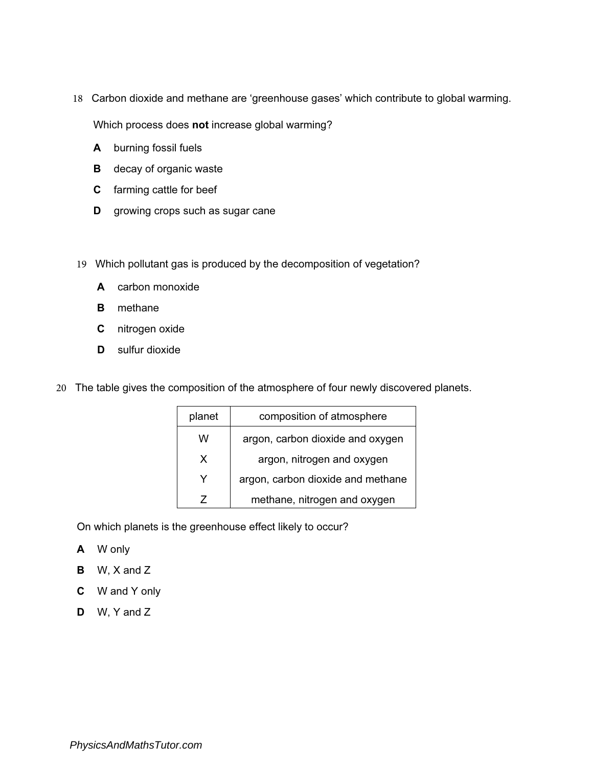18 Carbon dioxide and methane are 'greenhouse gases' which contribute to global warming.

Which process does not increase global warming?

- A burning fossil fuels
- **B** decay of organic waste
- C farming cattle for beef
- **D** growing crops such as sugar cane
- 19 Which pollutant gas is produced by the decomposition of vegetation?
	- A carbon monoxide
	- **B** methane
	- C nitrogen oxide
	- D sulfur dioxide
- 20 The table gives the composition of the atmosphere of four newly discovered planets.

| planet | composition of atmosphere         |
|--------|-----------------------------------|
| w      | argon, carbon dioxide and oxygen  |
| x      | argon, nitrogen and oxygen        |
| Y      | argon, carbon dioxide and methane |
| 7      | methane, nitrogen and oxygen      |

On which planets is the greenhouse effect likely to occur?

- A W only
- B W, X and Z
- C W and Y only
- D W, Y and Z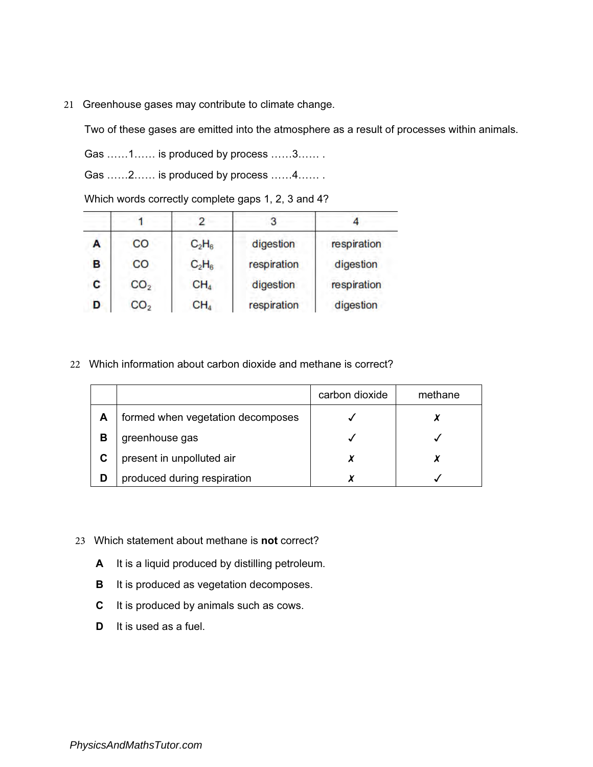21 Greenhouse gases may contribute to climate change.

Two of these gases are emitted into the atmosphere as a result of processes within animals.

Gas ……1…… is produced by process ……3…… .

Gas ……2…… is produced by process ……4…… .

| A | CO              | $C_2H_6$        | digestion   | respiration |
|---|-----------------|-----------------|-------------|-------------|
| в | CO              | $C_2H_6$        | respiration | digestion   |
| C | CO <sub>2</sub> | CH <sub>4</sub> | digestion   | respiration |
| D | CO <sub>2</sub> | CH <sub>4</sub> | respiration | digestion   |

Which words correctly complete gaps 1, 2, 3 and 4?

22 Which information about carbon dioxide and methane is correct?

|   |                                   | carbon dioxide | methane |
|---|-----------------------------------|----------------|---------|
| А | formed when vegetation decomposes |                |         |
| В | greenhouse gas                    |                |         |
| С | present in unpolluted air         |                |         |
| D | produced during respiration       |                |         |

- 23 Which statement about methane is **not** correct?
	- A It is a liquid produced by distilling petroleum.
	- B It is produced as vegetation decomposes.
	- C It is produced by animals such as cows.
	- D It is used as a fuel.